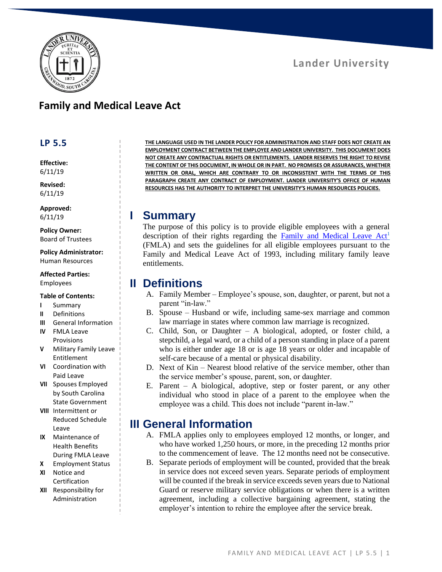

#### **Family and Medical Leave Act**

#### **LP 5.5**

**Effective:** 6/11/19

**Revised:** 6/11/19

**Approved:** 6/11/19

**Policy Owner:** Board of Trustees

**Policy Administrator:** Human Resources

**Affected Parties:** Employees

#### **Table of Contents:**

- **I** Summary
- **II** Definitions
- **III** General Information
- **IV** FMLA Leave Provisions
- **V** Military Family Leave Entitlement
- **VI** Coordination with Paid Leave
- **VII** Spouses Employed by South Carolina State Government
- **VIII** Intermittent or Reduced Schedule Leave
- **IX** Maintenance of Health Benefits During FMLA Leave
- **X** Employment Status
- **XI** Notice and Certification
- **XII** Responsibility for Administration

**THE LANGUAGE USED IN THE LANDER POLICY FOR ADMINISTRATION AND STAFF DOES NOT CREATE AN EMPLOYMENT CONTRACT BETWEEN THE EMPLOYEE AND LANDER UNIVERSITY. THIS DOCUMENT DOES NOT CREATE ANY CONTRACTUAL RIGHTS OR ENTITLEMENTS. LANDER RESERVES THE RIGHT TO REVISE THE CONTENT OF THIS DOCUMENT, IN WHOLE OR IN PART. NO PROMISES OR ASSURANCES, WHETHER WRITTEN OR ORAL, WHICH ARE CONTRARY TO OR INCONSISTENT WITH THE TERMS OF THIS PARAGRAPH CREATE ANY CONTRACT OF EMPLOYMENT. LANDER UNIVERSITY'S OFFICE OF HUMAN RESOURCES HAS THE AUTHORITY TO INTERPRET THE UNIVERSITY'S HUMAN RESOURCES POLICIES.**

#### **I Summary**

The purpose of this policy is to provide eligible employees with a general description of their rights regarding the Family and Medical Leave  $Act<sup>1</sup>$ (FMLA) and sets the guidelines for all eligible employees pursuant to the Family and Medical Leave Act of 1993, including military family leave entitlements.

#### **II Definitions**

- A. Family Member Employee's spouse, son, daughter, or parent, but not a parent "in-law."
- B. Spouse Husband or wife, including same-sex marriage and common law marriage in states where common law marriage is recognized.
- C. Child, Son, or Daughter A biological, adopted, or foster child, a stepchild, a legal ward, or a child of a person standing in place of a parent who is either under age 18 or is age 18 years or older and incapable of self-care because of a mental or physical disability.
- D. Next of Kin Nearest blood relative of the service member, other than the service member's spouse, parent, son, or daughter.
- E. Parent A biological, adoptive, step or foster parent, or any other individual who stood in place of a parent to the employee when the employee was a child. This does not include "parent in-law."

#### **III General Information**

- A. FMLA applies only to employees employed 12 months, or longer, and who have worked 1,250 hours, or more, in the preceding 12 months prior to the commencement of leave. The 12 months need not be consecutive.
- B. Separate periods of employment will be counted, provided that the break in service does not exceed seven years. Separate periods of employment will be counted if the break in service exceeds seven years due to National Guard or reserve military service obligations or when there is a written agreement, including a collective bargaining agreement, stating the employer's intention to rehire the employee after the service break.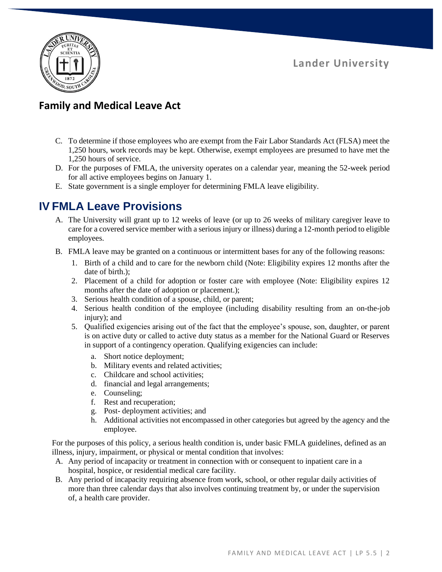

#### **Family and Medical Leave Act**

- C. To determine if those employees who are exempt from the Fair Labor Standards Act (FLSA) meet the 1,250 hours, work records may be kept. Otherwise, exempt employees are presumed to have met the 1,250 hours of service.
- D. For the purposes of FMLA, the university operates on a calendar year, meaning the 52-week period for all active employees begins on January 1.
- E. State government is a single employer for determining FMLA leave eligibility.

## **IV FMLA Leave Provisions**

- A. The University will grant up to 12 weeks of leave (or up to 26 weeks of military caregiver leave to care for a covered service member with a serious injury or illness) during a 12-month period to eligible employees.
- B. FMLA leave may be granted on a continuous or intermittent bases for any of the following reasons:
	- 1. Birth of a child and to care for the newborn child (Note: Eligibility expires 12 months after the date of birth.);
	- 2. Placement of a child for adoption or foster care with employee (Note: Eligibility expires 12 months after the date of adoption or placement.);
	- 3. Serious health condition of a spouse, child, or parent;
	- 4. Serious health condition of the employee (including disability resulting from an on-the-job injury); and
	- 5. Qualified exigencies arising out of the fact that the employee's spouse, son, daughter, or parent is on active duty or called to active duty status as a member for the National Guard or Reserves in support of a contingency operation. Qualifying exigencies can include:
		- a. Short notice deployment;
		- b. Military events and related activities;
		- c. Childcare and school activities;
		- d. financial and legal arrangements;
		- e. Counseling;
		- f. Rest and recuperation;
		- g. Post- deployment activities; and
		- h. Additional activities not encompassed in other categories but agreed by the agency and the employee.

For the purposes of this policy, a serious health condition is, under basic FMLA guidelines, defined as an illness, injury, impairment, or physical or mental condition that involves:

- A. Any period of incapacity or treatment in connection with or consequent to inpatient care in a hospital, hospice, or residential medical care facility.
- B. Any period of incapacity requiring absence from work, school, or other regular daily activities of more than three calendar days that also involves continuing treatment by, or under the supervision of, a health care provider.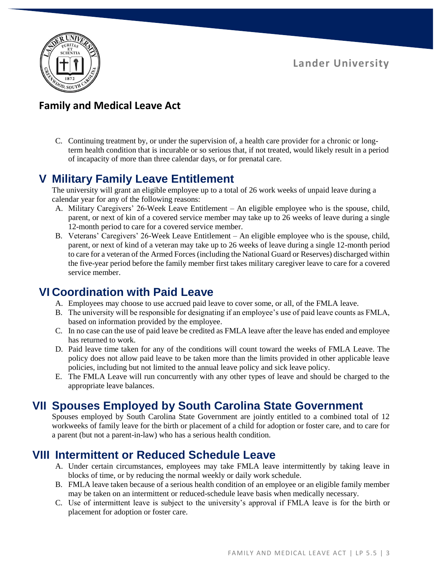

### **Family and Medical Leave Act**

C. Continuing treatment by, or under the supervision of, a health care provider for a chronic or longterm health condition that is incurable or so serious that, if not treated, would likely result in a period of incapacity of more than three calendar days, or for prenatal care.

## **V Military Family Leave Entitlement**

The university will grant an eligible employee up to a total of 26 work weeks of unpaid leave during a calendar year for any of the following reasons:

- A. Military Caregivers' 26-Week Leave Entitlement An eligible employee who is the spouse, child, parent, or next of kin of a covered service member may take up to 26 weeks of leave during a single 12-month period to care for a covered service member.
- B. Veterans' Caregivers' 26-Week Leave Entitlement An eligible employee who is the spouse, child, parent, or next of kind of a veteran may take up to 26 weeks of leave during a single 12-month period to care for a veteran of the Armed Forces (including the National Guard or Reserves) discharged within the five-year period before the family member first takes military caregiver leave to care for a covered service member.

## **VI Coordination with Paid Leave**

- A. Employees may choose to use accrued paid leave to cover some, or all, of the FMLA leave.
- B. The university will be responsible for designating if an employee's use of paid leave counts as FMLA, based on information provided by the employee.
- C. In no case can the use of paid leave be credited as FMLA leave after the leave has ended and employee has returned to work.
- D. Paid leave time taken for any of the conditions will count toward the weeks of FMLA Leave. The policy does not allow paid leave to be taken more than the limits provided in other applicable leave policies, including but not limited to the annual leave policy and sick leave policy.
- E. The FMLA Leave will run concurrently with any other types of leave and should be charged to the appropriate leave balances.

## **VII Spouses Employed by South Carolina State Government**

Spouses employed by South Carolina State Government are jointly entitled to a combined total of 12 workweeks of family leave for the birth or placement of a child for adoption or foster care, and to care for a parent (but not a parent-in-law) who has a serious health condition.

#### **VIII Intermittent or Reduced Schedule Leave**

- A. Under certain circumstances, employees may take FMLA leave intermittently by taking leave in blocks of time, or by reducing the normal weekly or daily work schedule.
- B. FMLA leave taken because of a serious health condition of an employee or an eligible family member may be taken on an intermittent or reduced-schedule leave basis when medically necessary.
- C. Use of intermittent leave is subject to the university's approval if FMLA leave is for the birth or placement for adoption or foster care.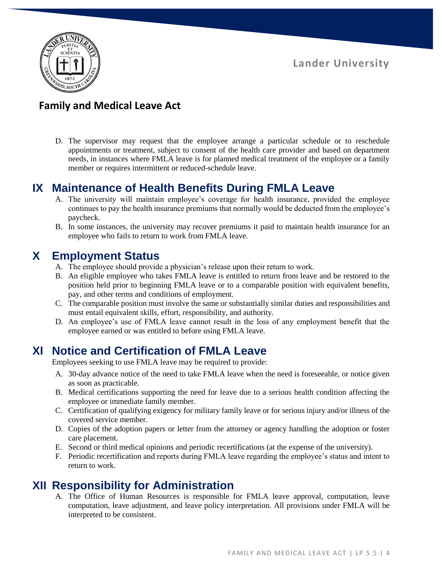

### **Family and Medical Leave Act**

D. The supervisor may request that the employee arrange a particular schedule or to reschedule appointments or treatment, subject to consent of the health care provider and based on department needs, in instances where FMLA leave is for planned medical treatment of the employee or a family member or requires intermittent or reduced-schedule leave.

#### **IX Maintenance of Health Benefits During FMLA Leave**

- A. The university will maintain employee's coverage for health insurance, provided the employee continues to pay the health insurance premiums that normally would be deducted from the employee's paycheck.
- B. In some instances, the university may recover premiums it paid to maintain health insurance for an employee who fails to return to work from FMLA leave.

#### **X Employment Status**

- A. The employee should provide a physician's release upon their return to work.
- B. An eligible employee who takes FMLA leave is entitled to return from leave and be restored to the position held prior to beginning FMLA leave or to a comparable position with equivalent benefits, pay, and other terms and conditions of employment.
- C. The comparable position must involve the same or substantially similar duties and responsibilities and must entail equivalent skills, effort, responsibility, and authority.
- D. An employee's use of FMLA leave cannot result in the loss of any employment benefit that the employee earned or was entitled to before using FMLA leave.

#### **XI Notice and Certification of FMLA Leave**

Employees seeking to use FMLA leave may be required to provide:

- A. 30-day advance notice of the need to take FMLA leave when the need is foreseeable, or notice given as soon as practicable.
- B. Medical certifications supporting the need for leave due to a serious health condition affecting the employee or immediate family member.
- C. Certification of qualifying exigency for military family leave or for serious injury and/or illness of the covered service member.
- D. Copies of the adoption papers or letter from the attorney or agency handling the adoption or foster care placement.
- E. Second or third medical opinions and periodic recertifications (at the expense of the university).
- F. Periodic recertification and reports during FMLA leave regarding the employee's status and intent to return to work.

## **XII Responsibility for Administration**

A. The Office of Human Resources is responsible for FMLA leave approval, computation, leave computation, leave adjustment, and leave policy interpretation. All provisions under FMLA will be interpreted to be consistent.